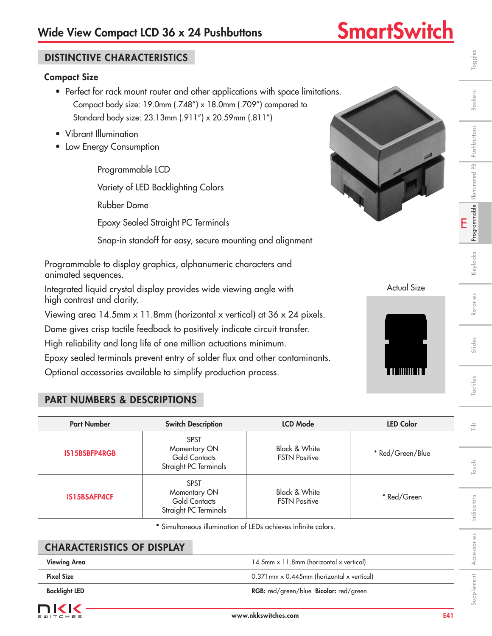# Wide View Compact LCD 36 x 24 Pushbuttons **SmartSwitch**

| <b>DISTINCTIVE CHARACTERISTICS</b>                                                                                                                                                 |                                                                                                                                                                                                                                |                                                  |                  | Toggles                          |  |  |  |  |  |
|------------------------------------------------------------------------------------------------------------------------------------------------------------------------------------|--------------------------------------------------------------------------------------------------------------------------------------------------------------------------------------------------------------------------------|--------------------------------------------------|------------------|----------------------------------|--|--|--|--|--|
| <b>Compact Size</b><br>• Perfect for rack mount router and other applications with space limitations.<br>Rockers<br>Compact body size: 19.0mm (.748") x 18.0mm (.709") compared to |                                                                                                                                                                                                                                |                                                  |                  |                                  |  |  |  |  |  |
| Standard body size: 23.13mm (.911") x 20.59mm (.811")<br>• Vibrant Illumination                                                                                                    |                                                                                                                                                                                                                                |                                                  |                  |                                  |  |  |  |  |  |
| Pushbuttons<br>Low Energy Consumption                                                                                                                                              |                                                                                                                                                                                                                                |                                                  |                  |                                  |  |  |  |  |  |
| Programmable LCD                                                                                                                                                                   |                                                                                                                                                                                                                                |                                                  |                  |                                  |  |  |  |  |  |
|                                                                                                                                                                                    | Variety of LED Backlighting Colors                                                                                                                                                                                             |                                                  |                  | Programmable         uminated PB |  |  |  |  |  |
| <b>Rubber Dome</b>                                                                                                                                                                 |                                                                                                                                                                                                                                |                                                  |                  |                                  |  |  |  |  |  |
|                                                                                                                                                                                    | Epoxy Sealed Straight PC Terminals                                                                                                                                                                                             |                                                  |                  | E                                |  |  |  |  |  |
| Snap-in standoff for easy, secure mounting and alignment                                                                                                                           |                                                                                                                                                                                                                                |                                                  |                  |                                  |  |  |  |  |  |
| Keylocks<br>Programmable to display graphics, alphanumeric characters and<br>animated sequences.                                                                                   |                                                                                                                                                                                                                                |                                                  |                  |                                  |  |  |  |  |  |
| <b>Actual Size</b><br>Integrated liquid crystal display provides wide viewing angle with<br>high contrast and clarity.                                                             |                                                                                                                                                                                                                                |                                                  |                  |                                  |  |  |  |  |  |
|                                                                                                                                                                                    | Viewing area 14.5mm x 11.8mm (horizontal x vertical) at 36 x 24 pixels.                                                                                                                                                        |                                                  |                  | Rotaries                         |  |  |  |  |  |
|                                                                                                                                                                                    | Dome gives crisp tactile feedback to positively indicate circuit transfer.<br>High reliability and long life of one million actuations minimum.<br>Epoxy sealed terminals prevent entry of solder flux and other contaminants. |                                                  |                  | Slides                           |  |  |  |  |  |
|                                                                                                                                                                                    | Optional accessories available to simplify production process.                                                                                                                                                                 |                                                  |                  |                                  |  |  |  |  |  |
| <b>PART NUMBERS &amp; DESCRIPTIONS</b>                                                                                                                                             |                                                                                                                                                                                                                                |                                                  |                  | Tactiles                         |  |  |  |  |  |
| <b>Part Number</b>                                                                                                                                                                 | <b>Switch Description</b>                                                                                                                                                                                                      | <b>LCD Mode</b>                                  | <b>LED Color</b> | 言                                |  |  |  |  |  |
| <b>IS15BSBFP4RGB</b>                                                                                                                                                               | <b>SPST</b><br>Momentary ON<br><b>Gold Contacts</b><br>Straight PC Terminals                                                                                                                                                   | <b>Black &amp; White</b><br><b>FSTN Positive</b> | * Red/Green/Blue | Touch                            |  |  |  |  |  |
| IS15BSAFP4CF                                                                                                                                                                       | <b>SPST</b><br>Momentary ON<br><b>Gold Contacts</b><br>Straight PC Terminals                                                                                                                                                   | <b>Black &amp; White</b><br><b>FSTN Positive</b> | * Red/Green      | Indicators                       |  |  |  |  |  |
|                                                                                                                                                                                    | * Simultaneous illumination of LEDs achieves infinite colors.                                                                                                                                                                  |                                                  |                  |                                  |  |  |  |  |  |
| <b>CHARACTERISTICS OF DISPLAY</b>                                                                                                                                                  |                                                                                                                                                                                                                                |                                                  |                  | Accessories                      |  |  |  |  |  |
| <b>Viewing Area</b>                                                                                                                                                                |                                                                                                                                                                                                                                | 14.5mm x 11.8mm (horizontal x vertical)          |                  |                                  |  |  |  |  |  |
| <b>Pixel Size</b>                                                                                                                                                                  |                                                                                                                                                                                                                                | 0.371mm x 0.445mm (horizontal x vertical)        |                  |                                  |  |  |  |  |  |
| <b>Backlight LED</b>                                                                                                                                                               |                                                                                                                                                                                                                                | RGB: red/green/blue Bicolor: red/green           |                  | Supplement                       |  |  |  |  |  |

| <b>CHARACTERISTICS OF DISPLAY</b> |                                                            |   |
|-----------------------------------|------------------------------------------------------------|---|
| <b>Viewing Area</b>               | 14.5mm x 11.8mm (horizontal x vertical)                    |   |
| <b>Pixel Size</b>                 | $0.371$ mm $\times$ 0.445mm (horizontal $\times$ vertical) |   |
| <b>Backlight LED</b>              | <b>RGB:</b> red/green/blue <b>Bicolor:</b> red/green       |   |
| — 1212                            |                                                            | ഗ |

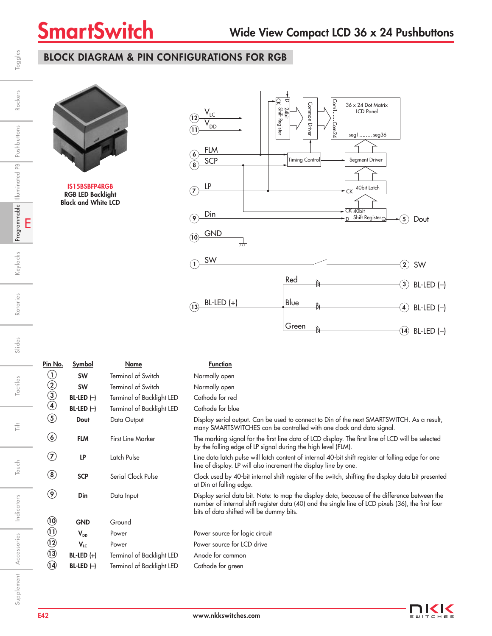# BLOCK DIAGRAM & PIN CONFIGURATIONS FOR RGB



IS15BSBFP4RGB RGB LED Backlight Black and White LCD



Pin No. Symbol Name Name Function **SW** Terminal of Switch Normally open **SW** Terminal of Switch Normally open BL-LED (-) Terminal of Backlight LED Cathode for red BL-LED (-) Terminal of Backlight LED Cathode for blue Dout Data Output Display serial output. Can be used to connect to Din of the next SMARTSWITCH. As a result, many SMARTSWITCHES can be controlled with one clock and data signal. FLM First Line Marker The marking signal for the first line data of LCD display. The first line of LCD will be selected by the falling edge of LP signal during the high level (FLM). LP Latch Pulse Line data latch pulse will latch content of internal 40-bit shift register at falling edge for one line of display. LP will also increment the display line by one. SCP Serial Clock Pulse Clock used by 40-bit internal shift register of the switch, shifting the display data bit presented at Din at falling edge. Din Data Input Display serial data bit. Note: to map the display data, because of the difference between the number of internal shift register data (40) and the single line of LCD pixels (36), the first four bits of data shifted will be dummy bits. GND Ground V<sub>DD</sub> Power Power Power source for logic circuit V<sub>LC</sub> Power Power Power source for LCD drive BL-LED (+) Terminal of Backlight LED Anode for common 14 BL-LED (–) Terminal of Backlight LED Cathode for green  $\overline{12}$  $\overline{u}$  $\circledR$  $\circledcirc$ 8  $\left( \mathcal{T}\right)$  $\circledbullet$ 4  $\circledg$ 3 2  $\mathbf{\widehat{13}}$ 1

E

Programmable Illuminated PB Pushbuttons

Keylocks

Rotaries

Slides

Tactiles

言

Touch

Indicators

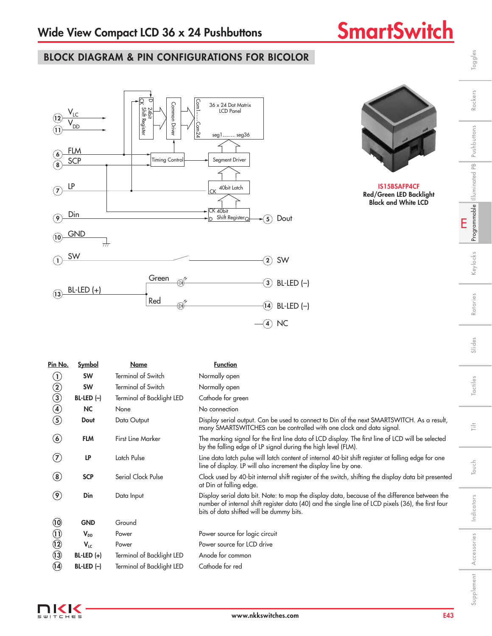# BLOCK DIAGRAM & PIN CONFIGURATIONS FOR BICOLOR





IS15BSAFP4CF Red/Green LED Backlight Black and White LCD

Toggles

Rockers

| <b>Symbol</b>  | Name                      | <b>Function</b>                                                                                                                                                                                                                                 |
|----------------|---------------------------|-------------------------------------------------------------------------------------------------------------------------------------------------------------------------------------------------------------------------------------------------|
| <b>SW</b>      | <b>Terminal of Switch</b> | Normally open                                                                                                                                                                                                                                   |
| <b>SW</b>      | <b>Terminal of Switch</b> | Normally open                                                                                                                                                                                                                                   |
| $BL-LED$ $(-)$ | Terminal of Backlight LED | Cathode for green                                                                                                                                                                                                                               |
| <b>NC</b>      | None                      | No connection                                                                                                                                                                                                                                   |
| Dout           | Data Output               | Display serial output. Can be used to connect to Din of the next SMARTSWITCH. As a result,<br>many SMARTSWITCHES can be controlled with one clock and data signal.                                                                              |
| <b>FLM</b>     | <b>First Line Marker</b>  | The marking signal for the first line data of LCD display. The first line of LCD will be selected<br>by the falling edge of LP signal during the high level (FLM).                                                                              |
| LP             | Latch Pulse               | Line data latch pulse will latch content of internal 40-bit shift register at falling edge for one<br>line of display. LP will also increment the display line by one.                                                                          |
| <b>SCP</b>     | Serial Clock Pulse        | Clock used by 40-bit internal shift register of the switch, shifting the display data bit presented<br>at Din at falling edge.                                                                                                                  |
| Din            | Data Input                | Display serial data bit. Note: to map the display data, because of the difference between the<br>number of internal shift register data (40) and the single line of LCD pixels (36), the first four<br>bits of data shifted will be dummy bits. |
| <b>GND</b>     | Ground                    |                                                                                                                                                                                                                                                 |
| $V_{DD}$       | Power                     | Power source for logic circuit                                                                                                                                                                                                                  |
| $V_{LC}$       | Power                     | Power source for LCD drive                                                                                                                                                                                                                      |
| $BL-LED (+)$   | Terminal of Backlight LED | Anode for common                                                                                                                                                                                                                                |
| $BL-LED$ $(-)$ | Terminal of Backlight LED | Cathode for red                                                                                                                                                                                                                                 |
|                |                           |                                                                                                                                                                                                                                                 |

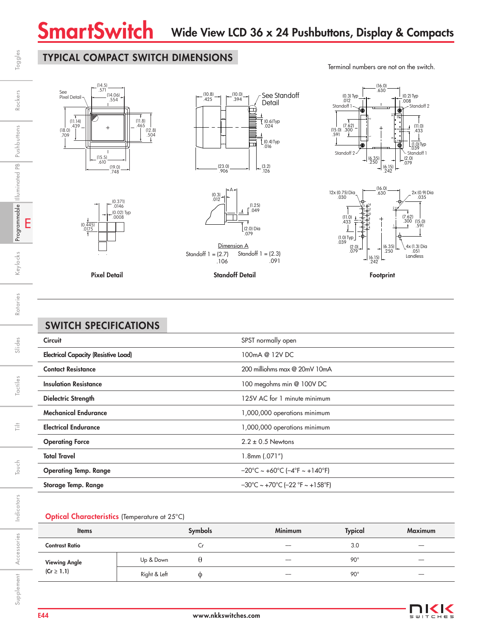# TYPICAL COMPACT SWITCH DIMENSIONS







 .106 Standoff  $1 = (2.3)$ .091

Pixel Detail Footprint Standoff Detail

(0.445) .0175

(0.371) .0146 (0.02) Typ .0008

# SWITCH SPECIFICATIONS

| <b>Circuit</b>                              | SPST normally open                                                        |
|---------------------------------------------|---------------------------------------------------------------------------|
| <b>Electrical Capacity (Resistive Load)</b> | 100mA @ 12V DC                                                            |
| <b>Contact Resistance</b>                   | 200 milliohms max @ 20mV 10mA                                             |
| <b>Insulation Resistance</b>                | 100 megohms min @ 100V DC                                                 |
| <b>Dielectric Strength</b>                  | 125V AC for 1 minute minimum                                              |
| <b>Mechanical Endurance</b>                 | 1,000,000 operations minimum                                              |
| <b>Electrical Endurance</b>                 | 000,000 operations minimum                                                |
| <b>Operating Force</b>                      | $2.2 \pm 0.5$ Newtons                                                     |
| <b>Total Travel</b>                         | $1.8$ mm $(.071")$                                                        |
| <b>Operating Temp. Range</b>                | $-20^{\circ}$ C ~ +60 $^{\circ}$ C (-4 $^{\circ}$ F ~ +140 $^{\circ}$ F)  |
| Storage Temp. Range                         | $-30^{\circ}$ C ~ +70 $^{\circ}$ C (-22 $^{\circ}$ F ~ +158 $^{\circ}$ F) |

### Optical Characteristics (Temperature at 25°C)

| <b>Items</b>                      |              | <b>Symbols</b> | <b>Minimum</b>           | <b>Typical</b>  | <b>Maximum</b>           |
|-----------------------------------|--------------|----------------|--------------------------|-----------------|--------------------------|
| <b>Contrast Ratio</b>             |              | ◡              | $\overline{\phantom{a}}$ | 3.0             | -                        |
|                                   | Up & Down    |                | --                       | 90 <sup>c</sup> | $\overline{\phantom{a}}$ |
| Viewing Angle<br>(Cr $\geq 1.1$ ) | Right & Left | ⊕              | --                       | 90 <sup>c</sup> | -                        |



Terminal numbers are not on the switch.

 $(16.0)$ <br> $.630$ 



E

Toggles

Rockers

Programmable Illuminated PB Pushbuttons

Keylocks

Rotaries

Slides

Tactiles

Ë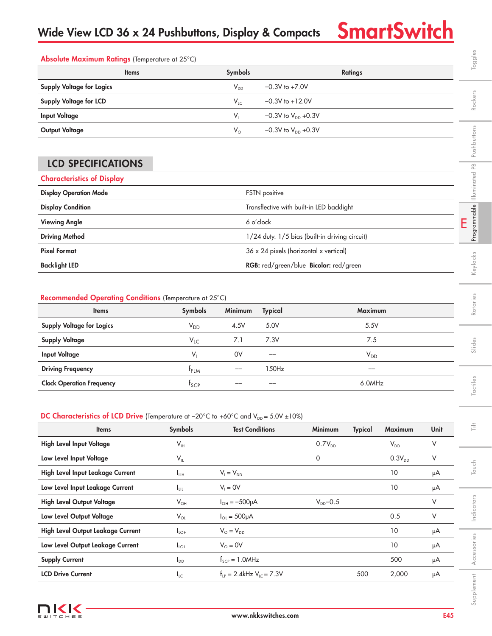Toggles

| Absolute Maximum Ratings (Temperature at 25°C) |                 |                                  |  |  |  |  |  |
|------------------------------------------------|-----------------|----------------------------------|--|--|--|--|--|
| <b>Items</b>                                   | <b>Symbols</b>  | <b>Ratings</b>                   |  |  |  |  |  |
| <b>Supply Voltage for Logics</b>               | $V_{DD}$        | $-0.3V$ to $+7.0V$               |  |  |  |  |  |
| <b>Supply Voltage for LCD</b>                  | $V_{\text{LC}}$ | $-0.3V$ to $+12.0V$              |  |  |  |  |  |
| <b>Input Voltage</b>                           | V,              | $-0.3V$ to $V_{DD}$ +0.3V        |  |  |  |  |  |
| <b>Output Voltage</b>                          | $V_{\circ}$     | $-0.3V$ to $V_{\text{DD}}$ +0.3V |  |  |  |  |  |

# LCD SPECIFICATIONS

| Supply Voltage for Logics         | $V_{DD}$<br>$-0.3V$ to $+7.0V$                 |                             |
|-----------------------------------|------------------------------------------------|-----------------------------|
| Supply Voltage for LCD            | $-0.3V$ to $+12.0V$<br>$V_{LC}$                | Rockers                     |
| <b>Input Voltage</b>              | $V_{1}$<br>$-0.3V$ to $V_{DD}$ +0.3V           |                             |
| <b>Output Voltage</b>             | $V_{\circ}$<br>$-0.3V$ to $V_{DD}$ +0.3V       |                             |
|                                   |                                                | Pushbuttons                 |
| <b>LCD SPECIFICATIONS</b>         |                                                | $\frac{\infty}{\infty}$     |
| <b>Characteristics of Display</b> |                                                |                             |
| <b>Display Operation Mode</b>     | <b>FSTN</b> positive                           | Illuminated                 |
| <b>Display Condition</b>          | Transflective with built-in LED backlight      |                             |
| <b>Viewing Angle</b>              | 6 o'clock                                      | Programmable<br>Ê           |
| <b>Driving Method</b>             | 1/24 duty. 1/5 bias (built-in driving circuit) |                             |
| <b>Pixel Format</b>               | 36 x 24 pixels (horizontal x vertical)         |                             |
| <b>Backlight LED</b>              | RGB: red/green/blue Bicolor: red/green         | <eylocks< td=""></eylocks<> |
|                                   |                                                |                             |

### Recommended Operating Conditions (Temperature at 25°C)

| Absolute Maximum Ratings (Temperature at 25°C)                                                                    |                            |                                    |                           |                                                |                |             |      | Toggles                     |
|-------------------------------------------------------------------------------------------------------------------|----------------------------|------------------------------------|---------------------------|------------------------------------------------|----------------|-------------|------|-----------------------------|
| <b>Items</b>                                                                                                      |                            | Symbols                            |                           |                                                | <b>Ratings</b> |             |      |                             |
| <b>Supply Voltage for Logics</b>                                                                                  |                            | $V_{DD}$                           | $-0.3V$ to $+7.0V$        |                                                |                |             |      |                             |
| Supply Voltage for LCD                                                                                            |                            | $V_{LC}$                           | $-0.3V$ to $+12.0V$       |                                                |                |             |      | Rockers                     |
| <b>Input Voltage</b>                                                                                              |                            | $V_{1}$                            | $-0.3V$ to $V_{DD}$ +0.3V |                                                |                |             |      |                             |
| <b>Output Voltage</b>                                                                                             |                            | $V_{\circ}$                        | $-0.3V$ to $V_{DD}$ +0.3V |                                                |                |             |      |                             |
|                                                                                                                   |                            |                                    |                           |                                                |                |             |      | Pushbuttons                 |
| <b>LCD SPECIFICATIONS</b>                                                                                         |                            |                                    |                           |                                                |                |             |      |                             |
| <b>Characteristics of Display</b>                                                                                 |                            |                                    |                           |                                                |                |             |      | Programmable Illuminated PB |
| <b>Display Operation Mode</b>                                                                                     |                            |                                    | FSTN positive             |                                                |                |             |      |                             |
| <b>Display Condition</b>                                                                                          |                            |                                    |                           | Transflective with built-in LED backlight      |                |             |      |                             |
| <b>Viewing Angle</b>                                                                                              | 6 o'clock<br>E             |                                    |                           |                                                |                |             |      |                             |
| <b>Driving Method</b>                                                                                             |                            |                                    |                           | 1/24 duty. 1/5 bias (built-in driving circuit) |                |             |      |                             |
| <b>Pixel Format</b>                                                                                               |                            |                                    |                           | 36 x 24 pixels (horizontal x vertical)         |                |             |      |                             |
| <b>Backlight LED</b>                                                                                              |                            |                                    |                           | RGB: red/green/blue Bicolor: red/green         |                |             |      | Keylocks                    |
|                                                                                                                   |                            |                                    |                           |                                                |                |             |      |                             |
| Recommended Operating Conditions (Temperature at 25°C)                                                            |                            |                                    |                           |                                                |                |             |      |                             |
| <b>Items</b>                                                                                                      | Symbols                    | Minimum                            | <b>Typical</b>            |                                                | Maximum        |             |      | Rotaries                    |
| <b>Supply Voltage for Logics</b>                                                                                  | $V_{DD}$                   | 4.5V                               | 5.0V                      |                                                | 5.5V           |             |      |                             |
| <b>Supply Voltage</b>                                                                                             | $V_{LC}$                   | 7.1                                | 7.3V                      | 7.5                                            |                |             |      |                             |
| <b>Input Voltage</b>                                                                                              | $V_{I}$                    | 0V                                 |                           |                                                | $V_{DD}$       |             |      | Slides                      |
| <b>Driving Frequency</b>                                                                                          | $f_{FLM}$                  |                                    | 150Hz                     |                                                |                |             |      |                             |
| <b>Clock Operation Frequency</b>                                                                                  | $f_{\text{SCP}}$           |                                    |                           |                                                | 6.0MHz         |             |      | Tactiles                    |
|                                                                                                                   |                            |                                    |                           |                                                |                |             |      |                             |
| DC Characteristics of LCD Drive (Temperature at $-20^{\circ}$ C to $+60^{\circ}$ C and $V_{DD} = 5.0V \pm 10\%$ ) |                            |                                    |                           |                                                |                |             |      |                             |
| <b>Items</b>                                                                                                      | Symbols                    | <b>Test Conditions</b>             |                           | Minimum                                        | <b>Typical</b> | Maximum     | Unit | 言                           |
| High Level Input Voltage                                                                                          | $\mathsf{V}_{\mathsf{IH}}$ |                                    |                           | $0.7V_{DD}$                                    |                | $V_{DD}$    | V    |                             |
| Low Level Input Voltage                                                                                           | $V_{IL}$                   |                                    |                           | 0                                              |                | $0.3V_{DD}$ | V    |                             |
| High Level Input Leakage Current                                                                                  | $I_{LIH}$                  | $V_1 = V_{DD}$                     |                           |                                                |                | 10          | μA   | Touch                       |
| Low Level Input Leakage Current                                                                                   | $I_{LIL}$                  | $V_1 = 0V$                         |                           |                                                |                | $10$        | μA   |                             |
| <b>High Level Output Voltage</b>                                                                                  | $V_{OH}$                   | $I_{OH} = -500 \mu A$              |                           | $V_{DD}$ -0.5                                  |                |             | V    |                             |
| Low Level Output Voltage                                                                                          | $V_{OL}$                   | $I_{OL} = 500 \mu A$               |                           |                                                |                | 0.5         | V    | Indicators                  |
| High Level Output Leakage Current                                                                                 | $I_{LOH}$                  | $V_{\odot} = V_{\text{DD}}$        |                           |                                                |                | $10$        | μA   |                             |
| Low Level Output Leakage Current                                                                                  | $I_{LOL}$                  | $V_{\odot} = 0V$                   |                           |                                                |                | 10          | μA   |                             |
| <b>Supply Current</b>                                                                                             | $I_{DD}$                   | $f_{\text{SCP}} = 1.0$ MHz         |                           |                                                |                | 500         | μA   | Accessories                 |
| <b>LCD Drive Current</b>                                                                                          | $I_{LC}$                   | $f_{LP} = 2.4$ kHz $V_{LC} = 7.3V$ |                           |                                                | 500            | 2,000       | μA   |                             |
|                                                                                                                   |                            |                                    |                           |                                                |                |             |      | Supplement                  |

## DC Characteristics of LCD Drive (Temperature at -20°C to +60°C and  $V_{DD} = 5.0V \pm 10\%$ )

| <b>Items</b>                                | Symbols                    | <b>Test Conditions</b>                    | Minimum       | <b>Typical</b> | <b>Maximum</b> | Unit | $\frac{1}{11}$ |
|---------------------------------------------|----------------------------|-------------------------------------------|---------------|----------------|----------------|------|----------------|
| <b>High Level Input Voltage</b><br>$V_{IH}$ |                            |                                           | $0.7V_{DD}$   |                | $V_{DD}$       | V    |                |
| Low Level Input Voltage                     | $V_{IL}$                   |                                           | $\mathbf 0$   |                | $0.3V_{DD}$    | V    |                |
| High Level Input Leakage Current            | $I_{LIH}$                  | $V_1 = V_{DD}$                            |               |                | 10             | μA   | Touch          |
| Low Level Input Leakage Current             | I <sub>LIL</sub>           | $V_1 = 0V$                                |               |                | 10             | μA   |                |
| <b>High Level Output Voltage</b>            | $V_{OH}$                   | $I_{OH} = -500 \mu A$                     | $V_{DD}$ -0.5 |                |                | V    |                |
| Low Level Output Voltage                    | $\mathsf{V}_{\mathsf{OL}}$ | $I_{OL} = 500 \mu A$                      |               |                | 0.5            | V    | Indicators     |
| <b>High Level Output Leakage Current</b>    | $I_{LOH}$                  | $V_{\odot} = V_{\text{DD}}$               |               |                | 10             | μA   |                |
| Low Level Output Leakage Current            | $I_{\text{LOL}}$           | $V_{\odot} = 0V$                          |               |                | 10             | μA   | Accessories    |
| <b>Supply Current</b>                       | $I_{DD}$                   | $f_{\text{SCP}} = 1.0$ MHz                |               |                | 500            | μA   |                |
| <b>LCD Drive Current</b>                    | $I_{LC}$                   | $f_{LP} = 2.4$ kHz V <sub>IC</sub> = 7.3V |               | 500            | 2,000          | μA   |                |
| ---                                         |                            |                                           |               |                |                |      | Supplement     |

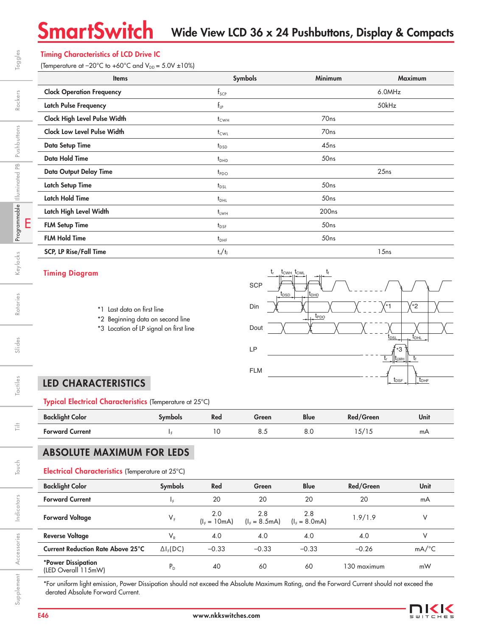# SmartSwitch Wide View LCD 36 x 24 Pushbuttons, Display & Compacts

### Timing Characteristics of LCD Drive IC

(Temperature at  $-20^{\circ}$ C to  $+60^{\circ}$ C and  $V_{DD} = 5.0V \pm 10\%$ )

| <b>Items</b>                       | Symbols            | <b>Minimum</b>    | <b>Maximum</b> |
|------------------------------------|--------------------|-------------------|----------------|
| <b>Clock Operation Frequency</b>   | $f_{\text{SCP}}$   |                   | 6.0MHz         |
| <b>Latch Pulse Frequency</b>       | $f_{LP}$           |                   | 50kHz          |
| Clock High Level Pulse Width       | $t_{CWH}$          | 70 <sub>ns</sub>  |                |
| <b>Clock Low Level Pulse Width</b> | $t_{\text{CWL}}$   | 70 <sub>ns</sub>  |                |
| <b>Data Setup Time</b>             | $t_{\texttt{DSD}}$ | 45ns              |                |
| <b>Data Hold Time</b>              | $t_{DHD}$          | 50ns              |                |
| <b>Data Output Delay Time</b>      | $t_{PDO}$          |                   | 25ns           |
| <b>Latch Setup Time</b>            | $t_{\text{DSL}}$   | 50 <sub>ns</sub>  |                |
| <b>Latch Hold Time</b>             | $t_{DHL}$          | 50ns              |                |
| Latch High Level Width             | $t_{LWH}$          | 200 <sub>ns</sub> |                |
| <b>FLM Setup Time</b>              | $t_{\text{DSF}}$   | 50ns              |                |
| <b>FLM Hold Time</b>               | $t_{\text{DHF}}$   | 50ns              |                |
| <b>SCP, LP Rise/Fall Time</b>      | $t_r/t_f$          |                   | 15ns           |

#### Timing Diagram



- \*2 Beginning data on second line
- \*3 Location of LP signal on first line



# LED CHARACTERISTICS

Typical Electrical Characteristics (Temperature at 25°C)

| <b>Backlight Color</b> | ovmbols | Red | Green | <b>Blue</b> | Red/Green | Unit |
|------------------------|---------|-----|-------|-------------|-----------|------|
| <b>Forward Current</b> |         | ັ   | 0.J   | ο.<br>ŏ.U   | 5/15،     | mA   |

## ABSOLUTE MAXIMUM FOR LEDS

#### Electrical Characteristics (Temperature at 25°C)

| <b>Backlight Color</b>                    | <b>Symbols</b>   | Red                 | Green                  | <b>Blue</b>            | Red/Green   | <b>Unit</b>         |
|-------------------------------------------|------------------|---------------------|------------------------|------------------------|-------------|---------------------|
|                                           |                  |                     |                        |                        |             |                     |
| <b>Forward Current</b>                    | ΙF.              | 20                  | 20                     | 20                     | 20          | mA                  |
| <b>Forward Voltage</b>                    | $V_{F}$          | 2.0<br>$I_F = 10mA$ | 2.8<br>$(I_F = 8.5mA)$ | 2.8<br>$(I_F = 8.0mA)$ | 1.9/1.9     |                     |
| <b>Reverse Voltage</b>                    | $V_{R}$          | 4.0                 | 4.0                    | 4.0                    | 4.0         |                     |
| <b>Current Reduction Rate Above 25°C</b>  | $\Delta I_F(DC)$ | $-0.33$             | $-0.33$                | $-0.33$                | $-0.26$     | $mA$ <sup>o</sup> C |
| *Power Dissipation<br>(LED Overall 115mW) | $P_{D}$          | 40                  | 60                     | 60                     | 130 maximum | mW                  |

\*For uniform light emission, Power Dissipation should not exceed the Absolute Maximum Rating, and the Forward Current should not exceed the derated Absolute Forward Current.



E

Tactiles

 $\frac{1}{11}$ 

Touch

Indicators

Indicators

Accessories

Supplement Accessories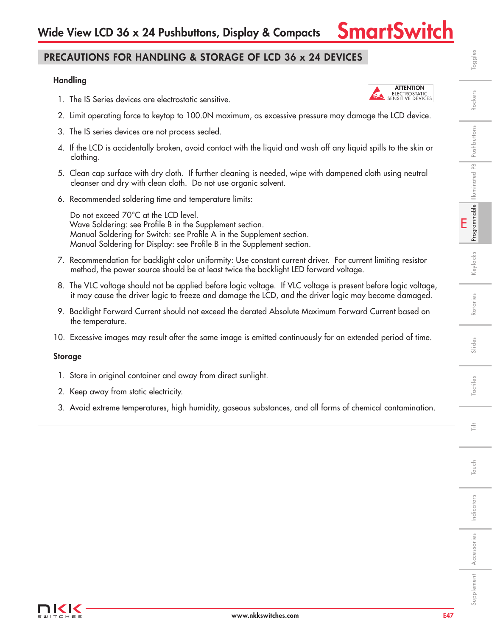## PRECAUTIONS FOR HANDLING & STORAGE OF LCD 36 x 24 DEVICES

#### **Handling**

- 1. The IS Series devices are electrostatic sensitive.
- 2. Limit operating force to keytop to 100.0N maximum, as excessive pressure may damage the LCD device.
- 3. The IS series devices are not process sealed.
- 4. If the LCD is accidentally broken, avoid contact with the liquid and wash off any liquid spills to the skin or clothing.
- 5. Clean cap surface with dry cloth. If further cleaning is needed, wipe with dampened cloth using neutral cleanser and dry with clean cloth. Do not use organic solvent.
- 6. Recommended soldering time and temperature limits:

 Do not exceed 70°C at the LCD level. Wave Soldering: see Profile B in the Supplement section. Manual Soldering for Switch: see Profile A in the Supplement section. Manual Soldering for Display: see Profile B in the Supplement section.

- 7. Recommendation for backlight color uniformity: Use constant current driver. For current limiting resistor method, the power source should be at least twice the backlight LED forward voltage.
- 8. The VLC voltage should not be applied before logic voltage. If VLC voltage is present before logic voltage, it may cause the driver logic to freeze and damage the LCD, and the driver logic may become damaged.
- 9. Backlight Forward Current should not exceed the derated Absolute Maximum Forward Current based on the temperature.
- 10. Excessive images may result after the same image is emitted continuously for an extended period of time.

#### Storage

- 1. Store in original container and away from direct sunlight.
- 2. Keep away from static electricity.
- 3. Avoid extreme temperatures, high humidity, gaseous substances, and all forms of chemical contamination.



Tactiles

言

Indicators

Indicators